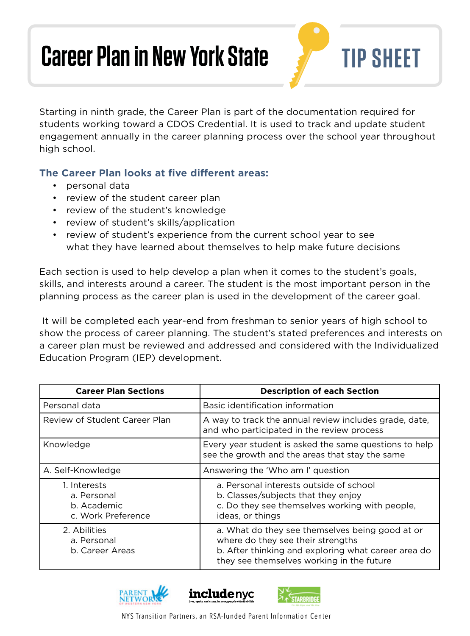## **Career Plan in New York State TIP SHEET**

Starting in ninth grade, the Career Plan is part of the documentation required for students working toward a CDOS Credential. It is used to track and update student engagement annually in the career planning process over the school year throughout high school.

## **The Career Plan looks at five different areas:**

- personal data
- review of the student career plan
- review of the student's knowledge
- review of student's skills/application
- review of student's experience from the current school year to see what they have learned about themselves to help make future decisions

 planning process as the career plan is used in the development of the career goal. Each section is used to help develop a plan when it comes to the student's goals, skills, and interests around a career. The student is the most important person in the

 It will be completed each year-end from freshman to senior years of high school to show the process of career planning. The student's stated preferences and interests on a career plan must be reviewed and addressed and considered with the Individualized Education Program (IEP) development.

| <b>Career Plan Sections</b>                                      | <b>Description of each Section</b>                                                                                                                                                       |
|------------------------------------------------------------------|------------------------------------------------------------------------------------------------------------------------------------------------------------------------------------------|
| Personal data                                                    | Basic identification information                                                                                                                                                         |
| Review of Student Career Plan                                    | A way to track the annual review includes grade, date,<br>and who participated in the review process                                                                                     |
| Knowledge                                                        | Every year student is asked the same questions to help<br>see the growth and the areas that stay the same                                                                                |
| A. Self-Knowledge                                                | Answering the 'Who am I' question                                                                                                                                                        |
| 1. Interests<br>a. Personal<br>b. Academic<br>c. Work Preference | a. Personal interests outside of school<br>b. Classes/subjects that they enjoy<br>c. Do they see themselves working with people,<br>ideas, or things                                     |
| 2. Abilities<br>a. Personal<br>b. Career Areas                   | a. What do they see themselves being good at or<br>where do they see their strengths<br>b. After thinking and exploring what career area do<br>they see themselves working in the future |







NYS Transition Partners, an RSA-funded Parent Information Center